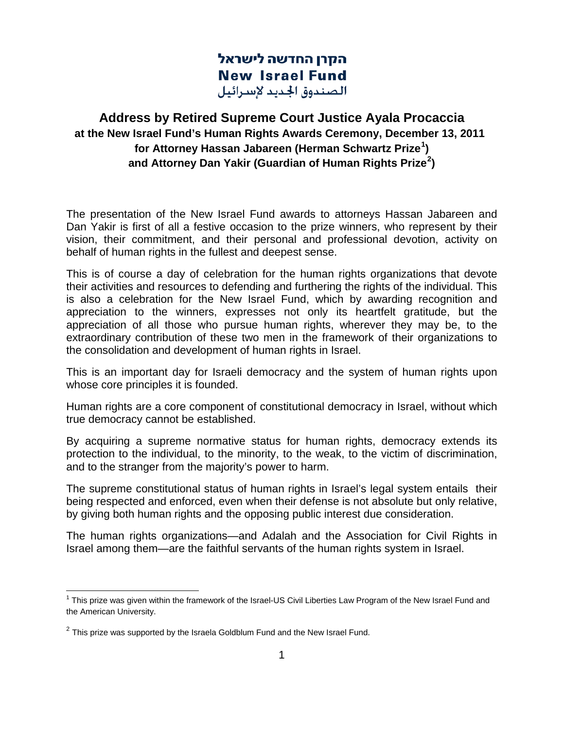הקרן החדשה לישראל **New Israel Fund** الصندوق الجديد لإسرائيل

## **Address by Retired Supreme Court Justice Ayala Procaccia at the New Israel Fund's Human Rights Awards Ceremony, December 13, 2011 for Attorney Hassan Jabareen (Herman Schwartz Prize[1](#page-0-0) ) and Attorney Dan Yakir (Guardian of Human Rights Prize[2](#page-0-1) )**

The presentation of the New Israel Fund awards to attorneys Hassan Jabareen and Dan Yakir is first of all a festive occasion to the prize winners, who represent by their vision, their commitment, and their personal and professional devotion, activity on behalf of human rights in the fullest and deepest sense.

This is of course a day of celebration for the human rights organizations that devote their activities and resources to defending and furthering the rights of the individual. This is also a celebration for the New Israel Fund, which by awarding recognition and appreciation to the winners, expresses not only its heartfelt gratitude, but the appreciation of all those who pursue human rights, wherever they may be, to the extraordinary contribution of these two men in the framework of their organizations to the consolidation and development of human rights in Israel.

This is an important day for Israeli democracy and the system of human rights upon whose core principles it is founded.

Human rights are a core component of constitutional democracy in Israel, without which true democracy cannot be established.

By acquiring a supreme normative status for human rights, democracy extends its protection to the individual, to the minority, to the weak, to the victim of discrimination, and to the stranger from the majority's power to harm.

The supreme constitutional status of human rights in Israel's legal system entails their being respected and enforced, even when their defense is not absolute but only relative, by giving both human rights and the opposing public interest due consideration.

The human rights organizations—and Adalah and the Association for Civil Rights in Israel among them—are the faithful servants of the human rights system in Israel.

<span id="page-0-0"></span> $1$  This prize was given within the framework of the Israel-US Civil Liberties Law Program of the New Israel Fund and the American University.

<span id="page-0-1"></span> $2$  This prize was supported by the Israela Goldblum Fund and the New Israel Fund.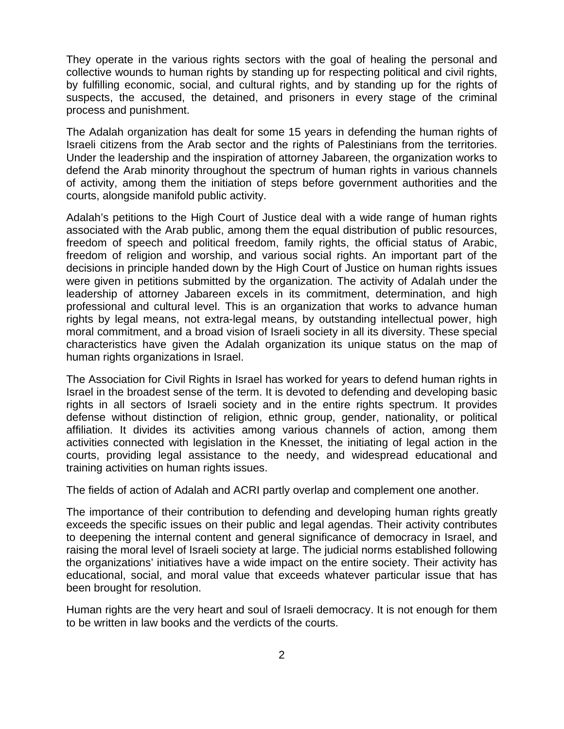They operate in the various rights sectors with the goal of healing the personal and collective wounds to human rights by standing up for respecting political and civil rights, by fulfilling economic, social, and cultural rights, and by standing up for the rights of suspects, the accused, the detained, and prisoners in every stage of the criminal process and punishment.

The Adalah organization has dealt for some 15 years in defending the human rights of Israeli citizens from the Arab sector and the rights of Palestinians from the territories. Under the leadership and the inspiration of attorney Jabareen, the organization works to defend the Arab minority throughout the spectrum of human rights in various channels of activity, among them the initiation of steps before government authorities and the courts, alongside manifold public activity.

Adalah's petitions to the High Court of Justice deal with a wide range of human rights associated with the Arab public, among them the equal distribution of public resources, freedom of speech and political freedom, family rights, the official status of Arabic, freedom of religion and worship, and various social rights. An important part of the decisions in principle handed down by the High Court of Justice on human rights issues were given in petitions submitted by the organization. The activity of Adalah under the leadership of attorney Jabareen excels in its commitment, determination, and high professional and cultural level. This is an organization that works to advance human rights by legal means, not extra-legal means, by outstanding intellectual power, high moral commitment, and a broad vision of Israeli society in all its diversity. These special characteristics have given the Adalah organization its unique status on the map of human rights organizations in Israel.

The Association for Civil Rights in Israel has worked for years to defend human rights in Israel in the broadest sense of the term. It is devoted to defending and developing basic rights in all sectors of Israeli society and in the entire rights spectrum. It provides defense without distinction of religion, ethnic group, gender, nationality, or political affiliation. It divides its activities among various channels of action, among them activities connected with legislation in the Knesset, the initiating of legal action in the courts, providing legal assistance to the needy, and widespread educational and training activities on human rights issues.

The fields of action of Adalah and ACRI partly overlap and complement one another.

The importance of their contribution to defending and developing human rights greatly exceeds the specific issues on their public and legal agendas. Their activity contributes to deepening the internal content and general significance of democracy in Israel, and raising the moral level of Israeli society at large. The judicial norms established following the organizations' initiatives have a wide impact on the entire society. Their activity has educational, social, and moral value that exceeds whatever particular issue that has been brought for resolution.

Human rights are the very heart and soul of Israeli democracy. It is not enough for them to be written in law books and the verdicts of the courts.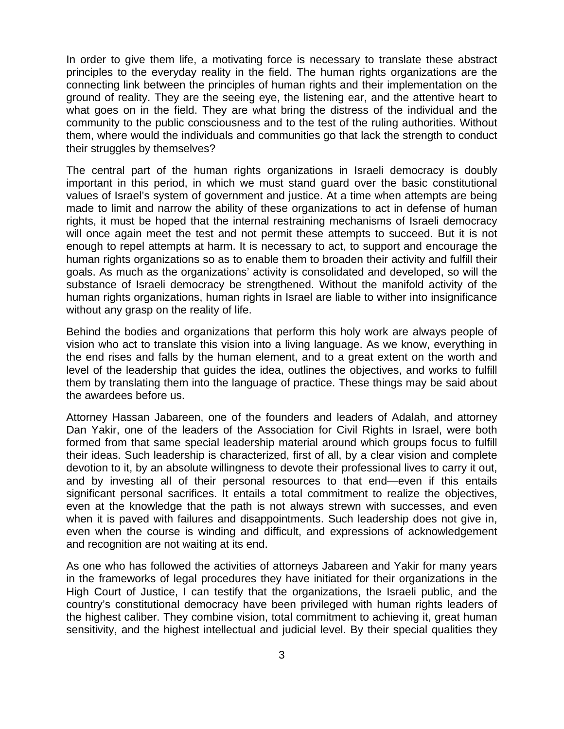In order to give them life, a motivating force is necessary to translate these abstract principles to the everyday reality in the field. The human rights organizations are the connecting link between the principles of human rights and their implementation on the ground of reality. They are the seeing eye, the listening ear, and the attentive heart to what goes on in the field. They are what bring the distress of the individual and the community to the public consciousness and to the test of the ruling authorities. Without them, where would the individuals and communities go that lack the strength to conduct their struggles by themselves?

The central part of the human rights organizations in Israeli democracy is doubly important in this period, in which we must stand guard over the basic constitutional values of Israel's system of government and justice. At a time when attempts are being made to limit and narrow the ability of these organizations to act in defense of human rights, it must be hoped that the internal restraining mechanisms of Israeli democracy will once again meet the test and not permit these attempts to succeed. But it is not enough to repel attempts at harm. It is necessary to act, to support and encourage the human rights organizations so as to enable them to broaden their activity and fulfill their goals. As much as the organizations' activity is consolidated and developed, so will the substance of Israeli democracy be strengthened. Without the manifold activity of the human rights organizations, human rights in Israel are liable to wither into insignificance without any grasp on the reality of life.

Behind the bodies and organizations that perform this holy work are always people of vision who act to translate this vision into a living language. As we know, everything in the end rises and falls by the human element, and to a great extent on the worth and level of the leadership that guides the idea, outlines the objectives, and works to fulfill them by translating them into the language of practice. These things may be said about the awardees before us.

Attorney Hassan Jabareen, one of the founders and leaders of Adalah, and attorney Dan Yakir, one of the leaders of the Association for Civil Rights in Israel, were both formed from that same special leadership material around which groups focus to fulfill their ideas. Such leadership is characterized, first of all, by a clear vision and complete devotion to it, by an absolute willingness to devote their professional lives to carry it out, and by investing all of their personal resources to that end—even if this entails significant personal sacrifices. It entails a total commitment to realize the objectives, even at the knowledge that the path is not always strewn with successes, and even when it is paved with failures and disappointments. Such leadership does not give in, even when the course is winding and difficult, and expressions of acknowledgement and recognition are not waiting at its end.

As one who has followed the activities of attorneys Jabareen and Yakir for many years in the frameworks of legal procedures they have initiated for their organizations in the High Court of Justice, I can testify that the organizations, the Israeli public, and the country's constitutional democracy have been privileged with human rights leaders of the highest caliber. They combine vision, total commitment to achieving it, great human sensitivity, and the highest intellectual and judicial level. By their special qualities they